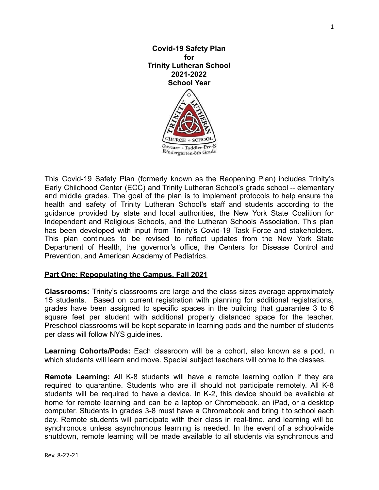

This Covid-19 Safety Plan (formerly known as the Reopening Plan) includes Trinity's Early Childhood Center (ECC) and Trinity Lutheran School's grade school -- elementary and middle grades. The goal of the plan is to implement protocols to help ensure the health and safety of Trinity Lutheran School's staff and students according to the guidance provided by state and local authorities, the New York State Coalition for Independent and Religious Schools, and the Lutheran Schools Association. This plan has been developed with input from Trinity's Covid-19 Task Force and stakeholders. This plan continues to be revised to reflect updates from the New York State Department of Health, the governor's office, the Centers for Disease Control and Prevention, and American Academy of Pediatrics.

# **Part One: Repopulating the Campus, Fall 2021**

**Classrooms:** Trinity's classrooms are large and the class sizes average approximately 15 students. Based on current registration with planning for additional registrations, grades have been assigned to specific spaces in the building that guarantee 3 to 6 square feet per student with additional properly distanced space for the teacher. Preschool classrooms will be kept separate in learning pods and the number of students per class will follow NYS guidelines.

**Learning Cohorts/Pods:** Each classroom will be a cohort, also known as a pod, in which students will learn and move. Special subject teachers will come to the classes.

**Remote Learning:** All K-8 students will have a remote learning option if they are required to quarantine. Students who are ill should not participate remotely. All K-8 students will be required to have a device. In K-2, this device should be available at home for remote learning and can be a laptop or Chromebook. an iPad, or a desktop computer. Students in grades 3-8 must have a Chromebook and bring it to school each day. Remote students will participate with their class in real-time, and learning will be synchronous unless asynchronous learning is needed. In the event of a school-wide shutdown, remote learning will be made available to all students via synchronous and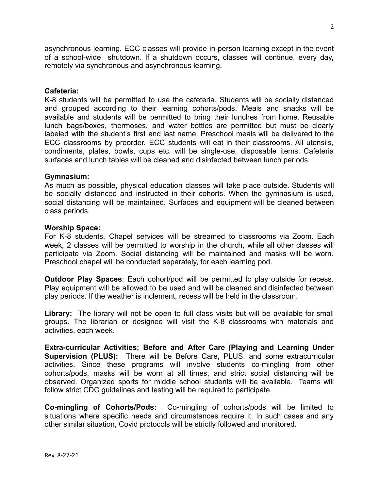asynchronous learning. ECC classes will provide in-person learning except in the event of a school-wide shutdown. If a shutdown occurs, classes will continue, every day, remotely via synchronous and asynchronous learning.

## **Cafeteria:**

K-8 students will be permitted to use the cafeteria. Students will be socially distanced and grouped according to their learning cohorts/pods. Meals and snacks will be available and students will be permitted to bring their lunches from home. Reusable lunch bags/boxes, thermoses, and water bottles are permitted but must be clearly labeled with the student's first and last name. Preschool meals will be delivered to the ECC classrooms by preorder. ECC students will eat in their classrooms. All utensils, condiments, plates, bowls, cups etc. will be single-use, disposable items. Cafeteria surfaces and lunch tables will be cleaned and disinfected between lunch periods.

#### **Gymnasium:**

As much as possible, physical education classes will take place outside. Students will be socially distanced and instructed in their cohorts. When the gymnasium is used, social distancing will be maintained. Surfaces and equipment will be cleaned between class periods.

#### **Worship Space:**

For K-8 students, Chapel services will be streamed to classrooms via Zoom. Each week, 2 classes will be permitted to worship in the church, while all other classes will participate via Zoom. Social distancing will be maintained and masks will be worn. Preschool chapel will be conducted separately, for each learning pod.

**Outdoor Play Spaces**: Each cohort/pod will be permitted to play outside for recess. Play equipment will be allowed to be used and will be cleaned and disinfected between play periods. If the weather is inclement, recess will be held in the classroom.

**Library:** The library will not be open to full class visits but will be available for small groups. The librarian or designee will visit the K-8 classrooms with materials and activities, each week.

**Extra-curricular Activities; Before and After Care (Playing and Learning Under Supervision (PLUS):** There will be Before Care, PLUS, and some extracurricular activities. Since these programs will involve students co-mingling from other cohorts/pods, masks will be worn at all times, and strict social distancing will be observed. Organized sports for middle school students will be available. Teams will follow strict CDC guidelines and testing will be required to participate.

**Co-mingling of Cohorts/Pods:** Co-mingling of cohorts/pods will be limited to situations where specific needs and circumstances require it. In such cases and any other similar situation, Covid protocols will be strictly followed and monitored.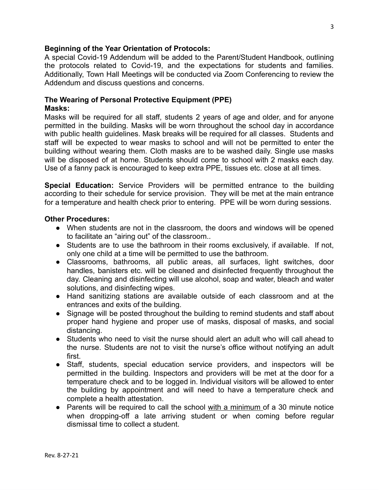## **Beginning of the Year Orientation of Protocols:**

A special Covid-19 Addendum will be added to the Parent/Student Handbook, outlining the protocols related to Covid-19, and the expectations for students and families. Additionally, Town Hall Meetings will be conducted via Zoom Conferencing to review the Addendum and discuss questions and concerns.

## **The Wearing of Personal Protective Equipment (PPE) Masks:**

Masks will be required for all staff, students 2 years of age and older, and for anyone permitted in the building. Masks will be worn throughout the school day in accordance with public health guidelines. Mask breaks will be required for all classes. Students and staff will be expected to wear masks to school and will not be permitted to enter the building without wearing them. Cloth masks are to be washed daily. Single use masks will be disposed of at home. Students should come to school with 2 masks each day. Use of a fanny pack is encouraged to keep extra PPE, tissues etc. close at all times.

**Special Education:** Service Providers will be permitted entrance to the building according to their schedule for service provision. They will be met at the main entrance for a temperature and health check prior to entering. PPE will be worn during sessions.

#### **Other Procedures:**

- When students are not in the classroom, the doors and windows will be opened to facilitate an "airing out" of the classroom..
- Students are to use the bathroom in their rooms exclusively, if available. If not, only one child at a time will be permitted to use the bathroom.
- Classrooms, bathrooms, all public areas, all surfaces, light switches, door handles, banisters etc. will be cleaned and disinfected frequently throughout the day. Cleaning and disinfecting will use alcohol, soap and water, bleach and water solutions, and disinfecting wipes.
- Hand sanitizing stations are available outside of each classroom and at the entrances and exits of the building.
- Signage will be posted throughout the building to remind students and staff about proper hand hygiene and proper use of masks, disposal of masks, and social distancing.
- Students who need to visit the nurse should alert an adult who will call ahead to the nurse. Students are not to visit the nurse's office without notifying an adult first.
- Staff, students, special education service providers, and inspectors will be permitted in the building. Inspectors and providers will be met at the door for a temperature check and to be logged in. Individual visitors will be allowed to enter the building by appointment and will need to have a temperature check and complete a health attestation.
- Parents will be required to call the school with a minimum of a 30 minute notice when dropping-off a late arriving student or when coming before regular dismissal time to collect a student.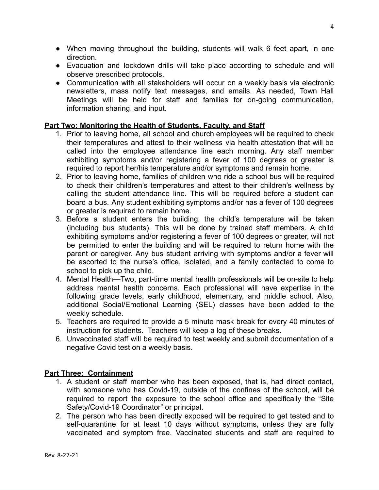- When moving throughout the building, students will walk 6 feet apart, in one direction.
- Evacuation and lockdown drills will take place according to schedule and will observe prescribed protocols.
- Communication with all stakeholders will occur on a weekly basis via electronic newsletters, mass notify text messages, and emails. As needed, Town Hall Meetings will be held for staff and families for on-going communication, information sharing, and input.

# **Part Two: Monitoring the Health of Students, Faculty, and Staff**

- 1. Prior to leaving home, all school and church employees will be required to check their temperatures and attest to their wellness via health attestation that will be called into the employee attendance line each morning. Any staff member exhibiting symptoms and/or registering a fever of 100 degrees or greater is required to report her/his temperature and/or symptoms and remain home.
- 2. Prior to leaving home, families of children who ride a school bus will be required to check their children's temperatures and attest to their children's wellness by calling the student attendance line. This will be required before a student can board a bus. Any student exhibiting symptoms and/or has a fever of 100 degrees or greater is required to remain home.
- 3. Before a student enters the building, the child's temperature will be taken (including bus students). This will be done by trained staff members. A child exhibiting symptoms and/or registering a fever of 100 degrees or greater, will not be permitted to enter the building and will be required to return home with the parent or caregiver. Any bus student arriving with symptoms and/or a fever will be escorted to the nurse's office, isolated, and a family contacted to come to school to pick up the child.
- 4. Mental Health—Two, part-time mental health professionals will be on-site to help address mental health concerns. Each professional will have expertise in the following grade levels, early childhood, elementary, and middle school. Also, additional Social/Emotional Learning (SEL) classes have been added to the weekly schedule.
- 5. Teachers are required to provide a 5 minute mask break for every 40 minutes of instruction for students. Teachers will keep a log of these breaks.
- 6. Unvaccinated staff will be required to test weekly and submit documentation of a negative Covid test on a weekly basis.

# **Part Three: Containment**

- 1. A student or staff member who has been exposed, that is, had direct contact, with someone who has Covid-19, outside of the confines of the school, will be required to report the exposure to the school office and specifically the "Site Safety/Covid-19 Coordinator" or principal.
- 2. The person who has been directly exposed will be required to get tested and to self-quarantine for at least 10 days without symptoms, unless they are fully vaccinated and symptom free. Vaccinated students and staff are required to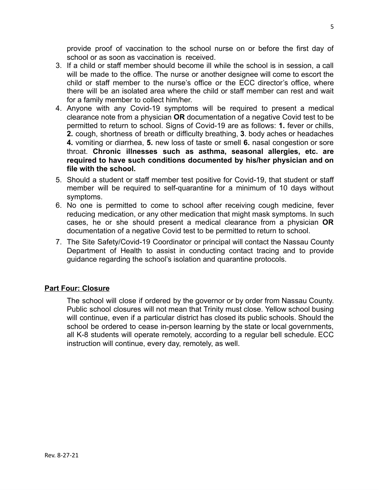provide proof of vaccination to the school nurse on or before the first day of school or as soon as vaccination is received.

- 3. If a child or staff member should become ill while the school is in session, a call will be made to the office. The nurse or another designee will come to escort the child or staff member to the nurse's office or the ECC director's office, where there will be an isolated area where the child or staff member can rest and wait for a family member to collect him/her.
- 4. Anyone with any Covid-19 symptoms will be required to present a medical clearance note from a physician **OR** documentation of a negative Covid test to be permitted to return to school. Signs of Covid-19 are as follows: **1.** fever or chills, **2.** cough, shortness of breath or difficulty breathing, **3**. body aches or headaches **4.** vomiting or diarrhea, **5.** new loss of taste or smell **6.** nasal congestion or sore throat. **Chronic illnesses such as asthma, seasonal allergies, etc. are required to have such conditions documented by his/her physician and on file with the school.**
- 5. Should a student or staff member test positive for Covid-19, that student or staff member will be required to self-quarantine for a minimum of 10 days without symptoms.
- 6. No one is permitted to come to school after receiving cough medicine, fever reducing medication, or any other medication that might mask symptoms. In such cases, he or she should present a medical clearance from a physician **OR** documentation of a negative Covid test to be permitted to return to school.
- 7. The Site Safety/Covid-19 Coordinator or principal will contact the Nassau County Department of Health to assist in conducting contact tracing and to provide guidance regarding the school's isolation and quarantine protocols.

# **Part Four: Closure**

The school will close if ordered by the governor or by order from Nassau County. Public school closures will not mean that Trinity must close. Yellow school busing will continue, even if a particular district has closed its public schools. Should the school be ordered to cease in-person learning by the state or local governments, all K-8 students will operate remotely, according to a regular bell schedule. ECC instruction will continue, every day, remotely, as well.